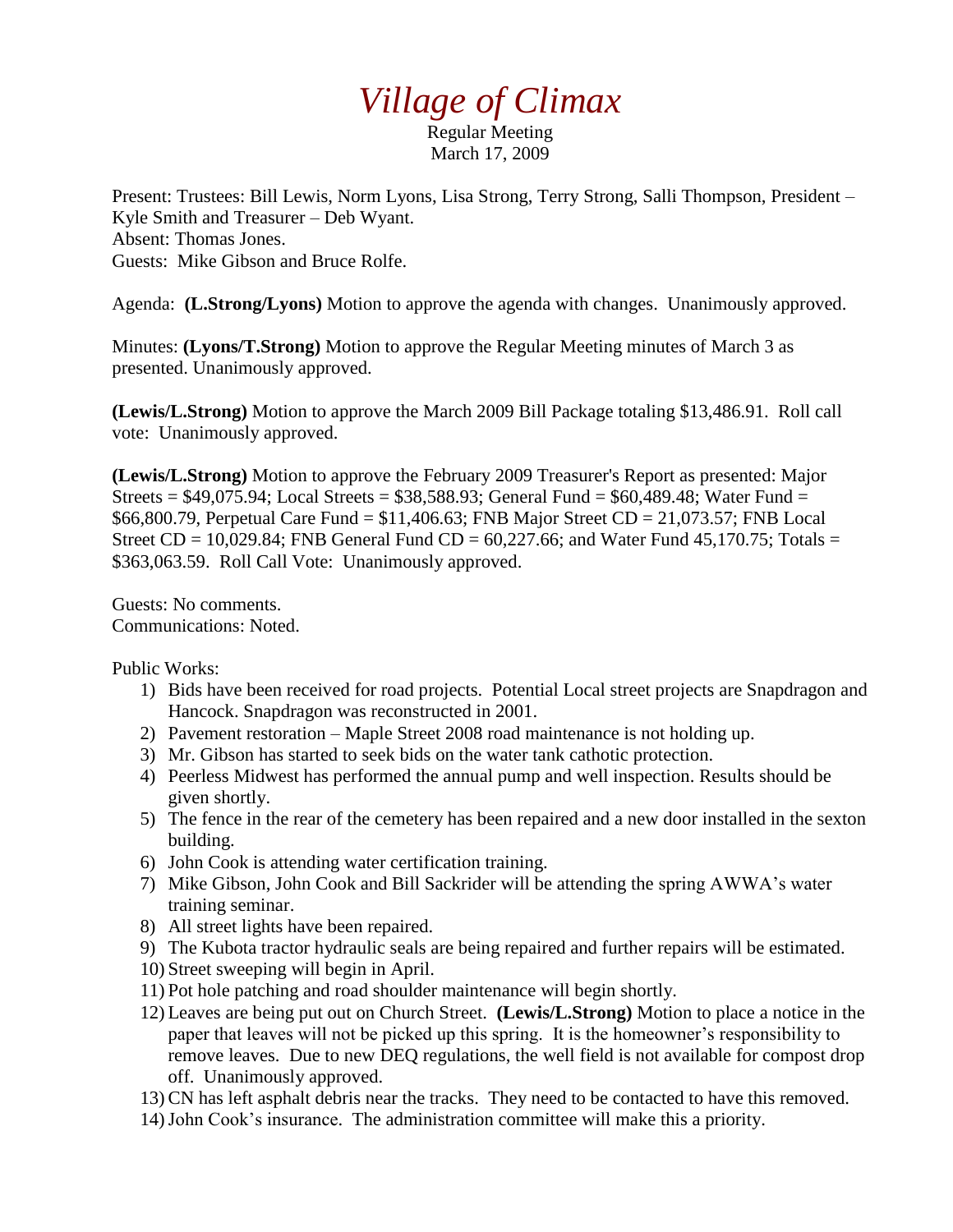# *Village of Climax*

Regular Meeting March 17, 2009

Present: Trustees: Bill Lewis, Norm Lyons, Lisa Strong, Terry Strong, Salli Thompson, President – Kyle Smith and Treasurer – Deb Wyant. Absent: Thomas Jones. Guests: Mike Gibson and Bruce Rolfe.

Agenda: **(L.Strong/Lyons)** Motion to approve the agenda with changes. Unanimously approved.

Minutes: **(Lyons/T.Strong)** Motion to approve the Regular Meeting minutes of March 3 as presented. Unanimously approved.

**(Lewis/L.Strong)** Motion to approve the March 2009 Bill Package totaling \$13,486.91. Roll call vote: Unanimously approved.

**(Lewis/L.Strong)** Motion to approve the February 2009 Treasurer's Report as presented: Major Streets =  $$49,075.94$ ; Local Streets =  $$38,588.93$ ; General Fund =  $$60,489.48$ ; Water Fund = \$66,800.79, Perpetual Care Fund = \$11,406.63; FNB Major Street CD = 21,073.57; FNB Local Street  $CD = 10,029.84$ ; FNB General Fund  $CD = 60,227.66$ ; and Water Fund 45,170.75; Totals = \$363,063.59. Roll Call Vote: Unanimously approved.

Guests: No comments. Communications: Noted.

Public Works:

- 1) Bids have been received for road projects. Potential Local street projects are Snapdragon and Hancock. Snapdragon was reconstructed in 2001.
- 2) Pavement restoration Maple Street 2008 road maintenance is not holding up.
- 3) Mr. Gibson has started to seek bids on the water tank cathotic protection.
- 4) Peerless Midwest has performed the annual pump and well inspection. Results should be given shortly.
- 5) The fence in the rear of the cemetery has been repaired and a new door installed in the sexton building.
- 6) John Cook is attending water certification training.
- 7) Mike Gibson, John Cook and Bill Sackrider will be attending the spring AWWA's water training seminar.
- 8) All street lights have been repaired.
- 9) The Kubota tractor hydraulic seals are being repaired and further repairs will be estimated.
- 10) Street sweeping will begin in April.
- 11) Pot hole patching and road shoulder maintenance will begin shortly.
- 12) Leaves are being put out on Church Street. **(Lewis/L.Strong)** Motion to place a notice in the paper that leaves will not be picked up this spring. It is the homeowner's responsibility to remove leaves. Due to new DEQ regulations, the well field is not available for compost drop off. Unanimously approved.
- 13)CN has left asphalt debris near the tracks. They need to be contacted to have this removed.
- 14)John Cook's insurance. The administration committee will make this a priority.